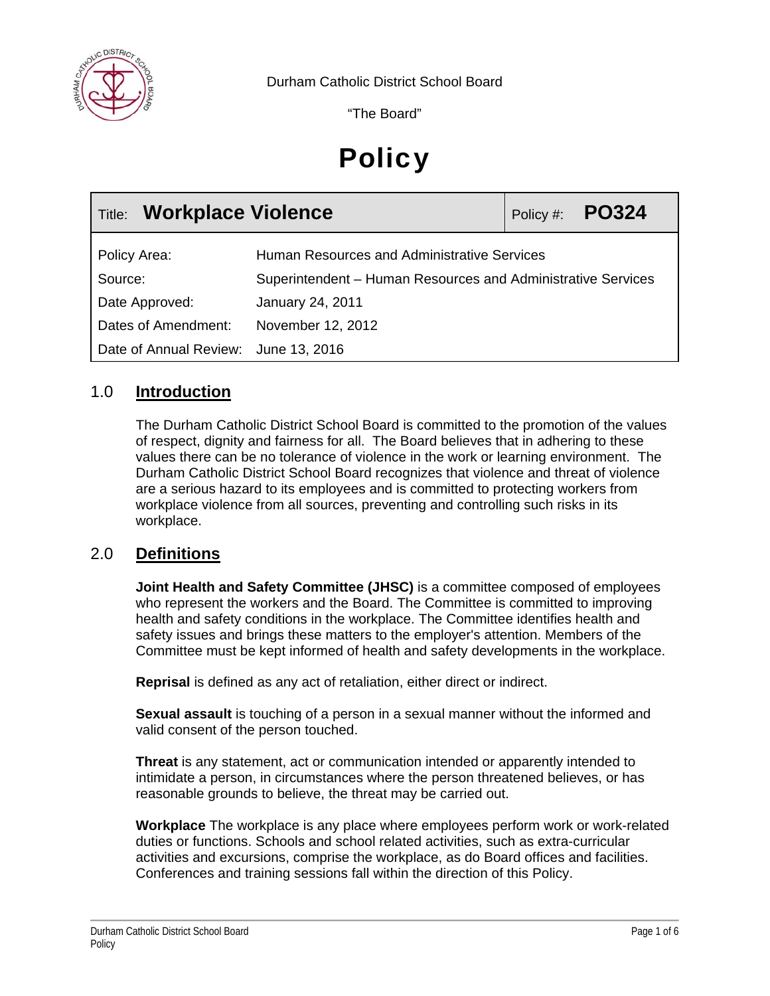

"The Board"

# **Policy**

| <b>Title: Workplace Violence</b>     |                                                              | Policy #: $PO324$ |
|--------------------------------------|--------------------------------------------------------------|-------------------|
| Policy Area:                         | Human Resources and Administrative Services                  |                   |
| Source:                              | Superintendent – Human Resources and Administrative Services |                   |
| Date Approved:                       | <b>January 24, 2011</b>                                      |                   |
| Dates of Amendment:                  | November 12, 2012                                            |                   |
| Date of Annual Review: June 13, 2016 |                                                              |                   |

## 1.0 **Introduction**

The Durham Catholic District School Board is committed to the promotion of the values of respect, dignity and fairness for all. The Board believes that in adhering to these values there can be no tolerance of violence in the work or learning environment. The Durham Catholic District School Board recognizes that violence and threat of violence are a serious hazard to its employees and is committed to protecting workers from workplace violence from all sources, preventing and controlling such risks in its workplace.

## 2.0 **Definitions**

**Joint Health and Safety Committee (JHSC)** is a committee composed of employees who represent the workers and the Board. The Committee is committed to improving health and safety conditions in the workplace. The Committee identifies health and safety issues and brings these matters to the employer's attention. Members of the Committee must be kept informed of health and safety developments in the workplace.

**Reprisal** is defined as any act of retaliation, either direct or indirect.

**Sexual assault** is touching of a person in a sexual manner without the informed and valid consent of the person touched.

**Threat** is any statement, act or communication intended or apparently intended to intimidate a person, in circumstances where the person threatened believes, or has reasonable grounds to believe, the threat may be carried out.

**Workplace** The workplace is any place where employees perform work or work-related duties or functions. Schools and school related activities, such as extra-curricular activities and excursions, comprise the workplace, as do Board offices and facilities. Conferences and training sessions fall within the direction of this Policy.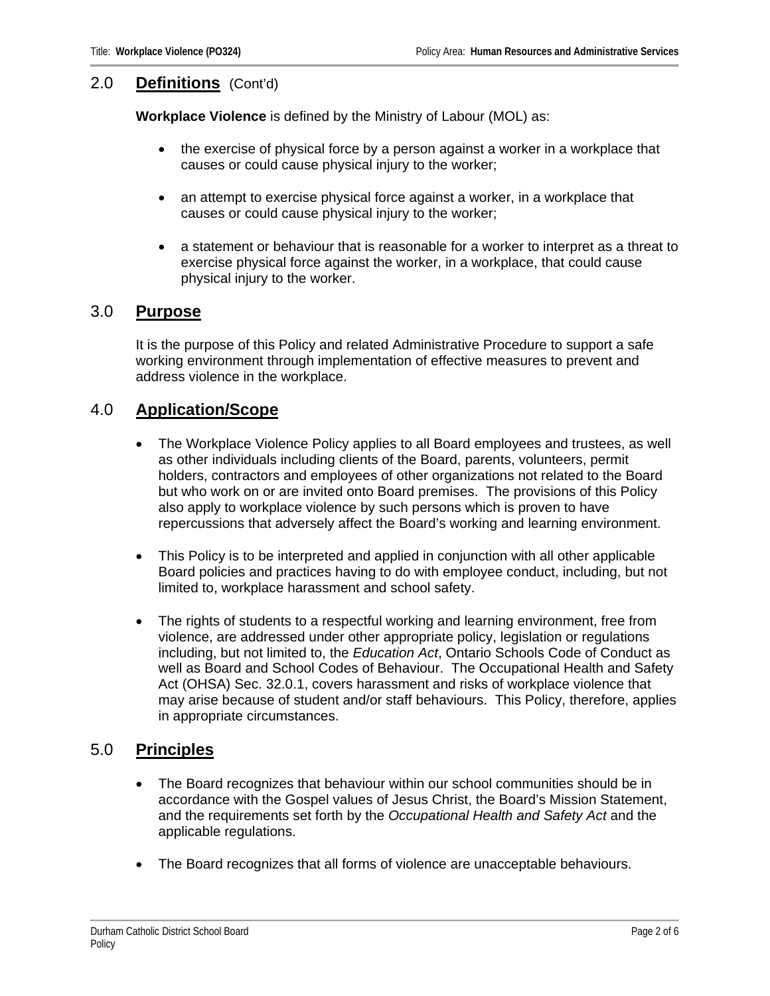#### 2.0 **Definitions** (Cont'd)

**Workplace Violence** is defined by the Ministry of Labour (MOL) as:

- the exercise of physical force by a person against a worker in a workplace that causes or could cause physical injury to the worker;
- an attempt to exercise physical force against a worker, in a workplace that causes or could cause physical injury to the worker;
- a statement or behaviour that is reasonable for a worker to interpret as a threat to exercise physical force against the worker, in a workplace, that could cause physical injury to the worker.

#### 3.0 **Purpose**

It is the purpose of this Policy and related Administrative Procedure to support a safe working environment through implementation of effective measures to prevent and address violence in the workplace.

## 4.0 **Application/Scope**

- The Workplace Violence Policy applies to all Board employees and trustees, as well as other individuals including clients of the Board, parents, volunteers, permit holders, contractors and employees of other organizations not related to the Board but who work on or are invited onto Board premises. The provisions of this Policy also apply to workplace violence by such persons which is proven to have repercussions that adversely affect the Board's working and learning environment.
- This Policy is to be interpreted and applied in conjunction with all other applicable Board policies and practices having to do with employee conduct, including, but not limited to, workplace harassment and school safety.
- The rights of students to a respectful working and learning environment, free from violence, are addressed under other appropriate policy, legislation or regulations including, but not limited to, the *Education Act*, Ontario Schools Code of Conduct as well as Board and School Codes of Behaviour. The Occupational Health and Safety Act (OHSA) Sec. 32.0.1, covers harassment and risks of workplace violence that may arise because of student and/or staff behaviours. This Policy, therefore, applies in appropriate circumstances.

## 5.0 **Principles**

- The Board recognizes that behaviour within our school communities should be in accordance with the Gospel values of Jesus Christ, the Board's Mission Statement, and the requirements set forth by the *Occupational Health and Safety Act* and the applicable regulations.
- The Board recognizes that all forms of violence are unacceptable behaviours.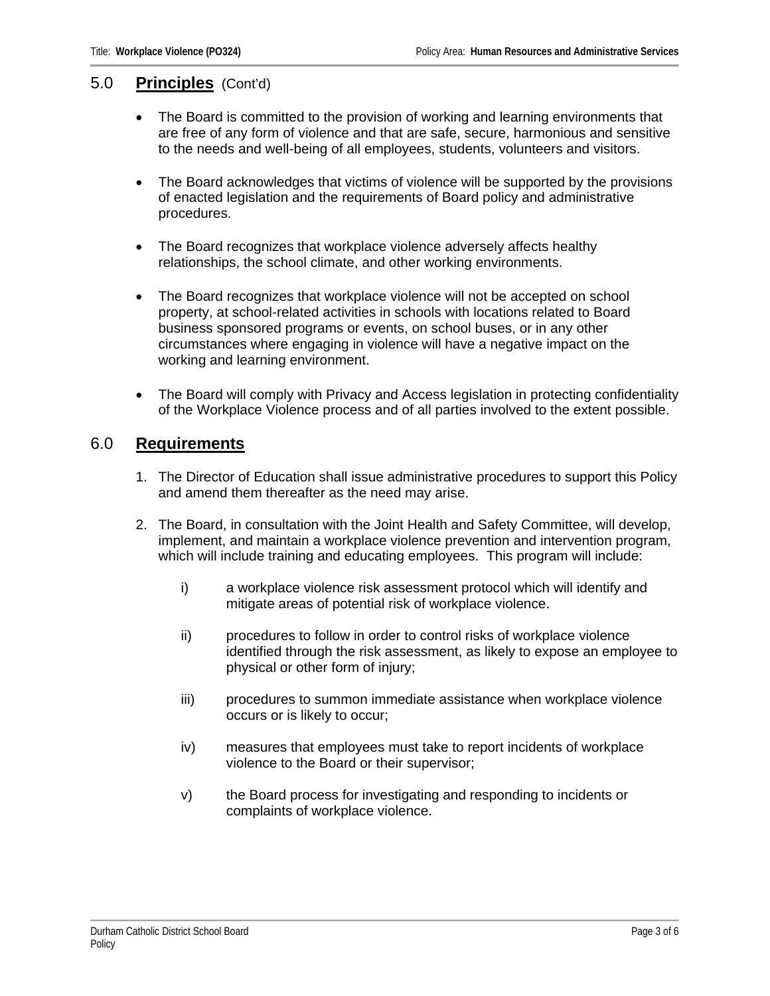#### 5.0 **Principles** (Cont'd)

- The Board is committed to the provision of working and learning environments that are free of any form of violence and that are safe, secure, harmonious and sensitive to the needs and well-being of all employees, students, volunteers and visitors.
- The Board acknowledges that victims of violence will be supported by the provisions of enacted legislation and the requirements of Board policy and administrative procedures.
- The Board recognizes that workplace violence adversely affects healthy relationships, the school climate, and other working environments.
- The Board recognizes that workplace violence will not be accepted on school property, at school-related activities in schools with locations related to Board business sponsored programs or events, on school buses, or in any other circumstances where engaging in violence will have a negative impact on the working and learning environment.
- The Board will comply with Privacy and Access legislation in protecting confidentiality of the Workplace Violence process and of all parties involved to the extent possible.

## 6.0 **Requirements**

- 1. The Director of Education shall issue administrative procedures to support this Policy and amend them thereafter as the need may arise.
- 2. The Board, in consultation with the Joint Health and Safety Committee, will develop, implement, and maintain a workplace violence prevention and intervention program, which will include training and educating employees. This program will include:
	- i) a workplace violence risk assessment protocol which will identify and mitigate areas of potential risk of workplace violence.
	- ii) procedures to follow in order to control risks of workplace violence identified through the risk assessment, as likely to expose an employee to physical or other form of injury;
	- iii) procedures to summon immediate assistance when workplace violence occurs or is likely to occur;
	- iv) measures that employees must take to report incidents of workplace violence to the Board or their supervisor;
	- v) the Board process for investigating and responding to incidents or complaints of workplace violence.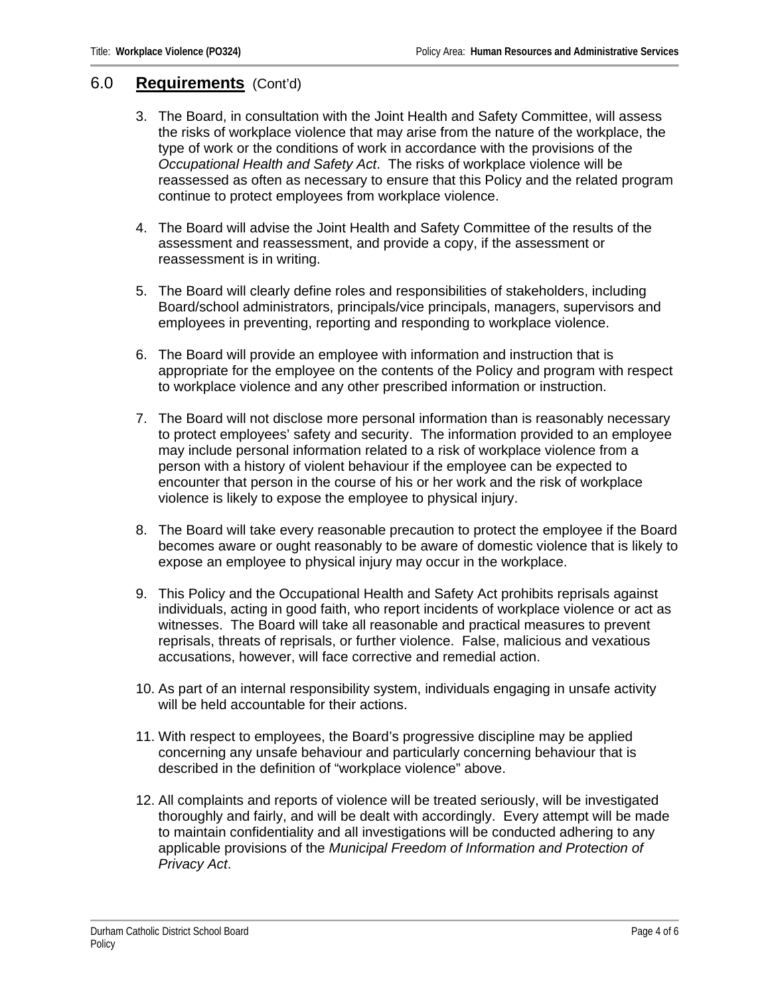#### 6.0 **Requirements** (Cont'd)

- 3. The Board, in consultation with the Joint Health and Safety Committee, will assess the risks of workplace violence that may arise from the nature of the workplace, the type of work or the conditions of work in accordance with the provisions of the *Occupational Health and Safety Act*. The risks of workplace violence will be reassessed as often as necessary to ensure that this Policy and the related program continue to protect employees from workplace violence.
- 4. The Board will advise the Joint Health and Safety Committee of the results of the assessment and reassessment, and provide a copy, if the assessment or reassessment is in writing.
- 5. The Board will clearly define roles and responsibilities of stakeholders, including Board/school administrators, principals/vice principals, managers, supervisors and employees in preventing, reporting and responding to workplace violence.
- 6. The Board will provide an employee with information and instruction that is appropriate for the employee on the contents of the Policy and program with respect to workplace violence and any other prescribed information or instruction.
- 7. The Board will not disclose more personal information than is reasonably necessary to protect employees' safety and security. The information provided to an employee may include personal information related to a risk of workplace violence from a person with a history of violent behaviour if the employee can be expected to encounter that person in the course of his or her work and the risk of workplace violence is likely to expose the employee to physical injury.
- 8. The Board will take every reasonable precaution to protect the employee if the Board becomes aware or ought reasonably to be aware of domestic violence that is likely to expose an employee to physical injury may occur in the workplace.
- 9. This Policy and the Occupational Health and Safety Act prohibits reprisals against individuals, acting in good faith, who report incidents of workplace violence or act as witnesses. The Board will take all reasonable and practical measures to prevent reprisals, threats of reprisals, or further violence. False, malicious and vexatious accusations, however, will face corrective and remedial action.
- 10. As part of an internal responsibility system, individuals engaging in unsafe activity will be held accountable for their actions.
- 11. With respect to employees, the Board's progressive discipline may be applied concerning any unsafe behaviour and particularly concerning behaviour that is described in the definition of "workplace violence" above.
- 12. All complaints and reports of violence will be treated seriously, will be investigated thoroughly and fairly, and will be dealt with accordingly. Every attempt will be made to maintain confidentiality and all investigations will be conducted adhering to any applicable provisions of the *Municipal Freedom of Information and Protection of Privacy Act*.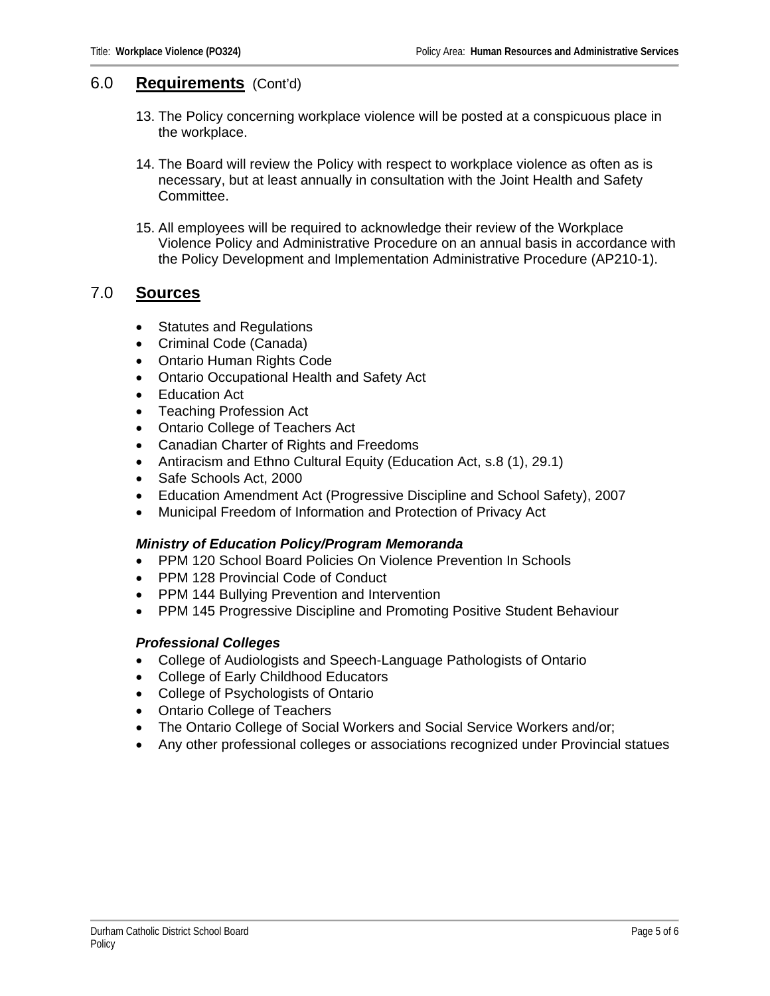#### 6.0 **Requirements** (Cont'd)

- 13. The Policy concerning workplace violence will be posted at a conspicuous place in the workplace.
- 14. The Board will review the Policy with respect to workplace violence as often as is necessary, but at least annually in consultation with the Joint Health and Safety Committee.
- 15. All employees will be required to acknowledge their review of the Workplace Violence Policy and Administrative Procedure on an annual basis in accordance with the Policy Development and Implementation Administrative Procedure (AP210-1).

#### 7.0 **Sources**

- Statutes and Regulations
- Criminal Code (Canada)
- Ontario Human Rights Code
- Ontario Occupational Health and Safety Act
- Education Act
- Teaching Profession Act
- Ontario College of Teachers Act
- Canadian Charter of Rights and Freedoms
- Antiracism and Ethno Cultural Equity (Education Act, s.8 (1), 29.1)
- Safe Schools Act, 2000
- Education Amendment Act (Progressive Discipline and School Safety), 2007
- Municipal Freedom of Information and Protection of Privacy Act

#### *Ministry of Education Policy/Program Memoranda*

- PPM 120 School Board Policies On Violence Prevention In Schools
- PPM 128 Provincial Code of Conduct
- PPM 144 Bullying Prevention and Intervention
- PPM 145 Progressive Discipline and Promoting Positive Student Behaviour

#### *Professional Colleges*

- College of Audiologists and Speech-Language Pathologists of Ontario
- College of Early Childhood Educators
- College of Psychologists of Ontario
- Ontario College of Teachers
- The Ontario College of Social Workers and Social Service Workers and/or;
- Any other professional colleges or associations recognized under Provincial statues